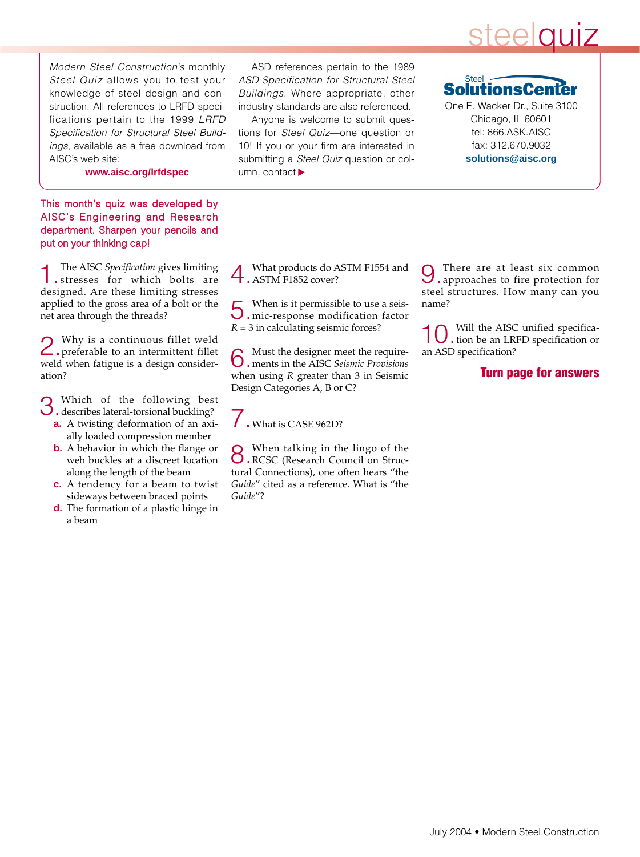## steelquiz

Modern Steel Construction's monthly Steel Quiz allows you to test your knowledge of steel design and construction. All references to LRFD specifications pertain to the 1999 LRFD Specification for Structural Steel Buildings, available as a free download from AISC's web site:

**www.aisc.org/lrfdspec**

This month's quiz was developed by AISC's Engineering and Research department. Sharpen your pencils and put on your thinking cap!

1.The AISC *Specification* gives limiting stresses for which bolts are designed. Are these limiting stresses applied to the gross area of a bolt or the net area through the threads?

2.Why is a continuous fillet weld preferable to an intermittent fillet weld when fatigue is a design consideration?

3.Which of the following best describes lateral-torsional buckling?

- **a.** A twisting deformation of an axially loaded compression member
- **b.** A behavior in which the flange or web buckles at a discreet location along the length of the beam
- **c.** A tendency for a beam to twist sideways between braced points
- **d.** The formation of a plastic hinge in a beam

ASD references pertain to the 1989 ASD Specification for Structural Steel Buildings. Where appropriate, other industry standards are also referenced.

Anyone is welcome to submit questions for Steel Quiz—one question or 10! If you or your firm are interested in submitting a Steel Quiz question or column, contact  $\blacktriangleright$ 

**Steel SolutionsCe** 

One E. Wacker Dr., Suite 3100 Chicago, IL 60601 tel: 866.ASK.AISC fax: 312.670.9032 **solutions@aisc.org**

4.What products do ASTM F1554 and ASTM F1852 cover?

5.When is it permissible to use a seis-mic-response modification factor  $R = 3$  in calculating seismic forces?

6.Must the designer meet the require-ments in the AISC *Seismic Provisions* when using *R* greater than 3 in Seismic Design Categories A, B or C?

#### . What is CASE 962D?

8.When talking in the lingo of the RCSC (Research Council on Structural Connections), one often hears "the *Guide*" cited as a reference. What is "the *Guide*"?

9.There are at least six common approaches to fire protection for steel structures. How many can you name?

10.Will the AISC unified specifica-tion be an LRFD specification or an ASD specification?

#### **Turn page for answers**